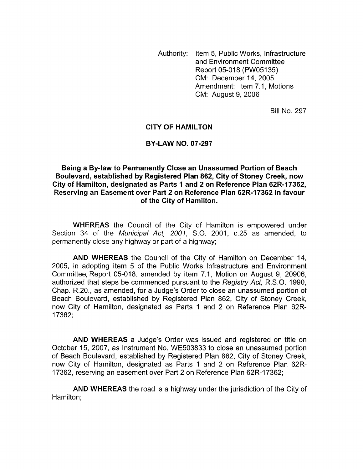Authority: Item 5, Public Works, Infrastructure and Environment Committee Report 05-018 (PW05135) CM: December 14,2005 Amendment: Item 7.1, Motions CM: August 9,2006

Bill No. 297

## **CITY OF HAMILTON**

## **BY-LAW NO. 07-297**

**Being a Bylaw to Permanently Close an Unassumed Portion of Beach Boulevard, established by Registered Plan 862, City of Stoney Creek, now City of Hamilton, designate and Server Parts I Boulevard, established by Registered Plan 862, City of Stoney Creek, now<br>City of Hamilton, designated as Parts 1 and 2 on Reference Plan 62R-17362,<br>Becausing an Easement sust Reserving an Easement over Part 2 on Reference Plan 62R-I7362 in favour of the City of Hamilton.** 

**WHEREAS** the Council of the City of Hamilton is empowered under Section 34 of the *Municipal Act, 2001,* S.O. 2001, c.25 as amended, to permanently close any highway or part of a highway;

**AND WHEREAS** the Council of the City of Hamilton on December 14, 2005, in adopting Item 5 of the Public Works Infrastructure and Environment Committee, Report 05-018, amended by Item 7.1, Motion on August 9, 20906, authorized that steps be commenced pursuant to the *Registry Act,* R.S.O. 1990, Chap. R.20., as amended, for a Judge's Order to close an unassumed portion of Beach Boulevard, established by Registered Plan 862, City of Stoney Creek, now City of Hamilton, designated as Parts 1 and 2 on Reference Plan 62R-17362;

**AND WHEREAS** a Judge's Order was issued and registered on title on October 15, 2007, as Instrument No. WE503833 to close an unassumed portion of Beach Boulevard, established by Registered Plan 862, City of Stoney Creek, now City of Hamilton, designated as Parts 1 and 2 on Reference Plan 62R-17362, reserving an easement over Part 2 on Reference Plan 62R-17362;

**AND WHEREAS** the road is a highway under the jurisdiction of the City of Hamilton;